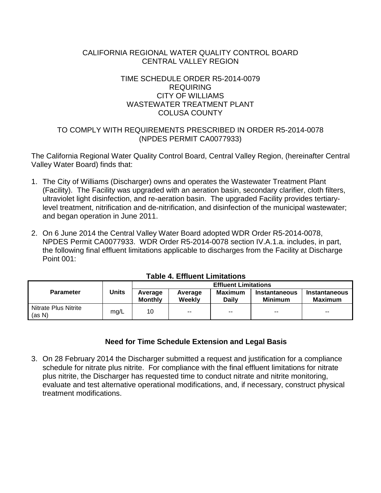## CALIFORNIA REGIONAL WATER QUALITY CONTROL BOARD CENTRAL VALLEY REGION

## TIME SCHEDULE ORDER R5-2014-0079 REQUIRING CITY OF WILLIAMS WASTEWATER TREATMENT PLANT COLUSA COUNTY

# TO COMPLY WITH REQUIREMENTS PRESCRIBED IN ORDER R5-2014-0078 (NPDES PERMIT CA0077933)

The California Regional Water Quality Control Board, Central Valley Region, (hereinafter Central Valley Water Board) finds that:

- 1. The City of Williams (Discharger) owns and operates the Wastewater Treatment Plant (Facility). The Facility was upgraded with an aeration basin, secondary clarifier, cloth filters, ultraviolet light disinfection, and re-aeration basin. The upgraded Facility provides tertiarylevel treatment, nitrification and de-nitrification, and disinfection of the municipal wastewater; and began operation in June 2011.
- 2. On 6 June 2014 the Central Valley Water Board adopted WDR Order R5-2014-0078, NPDES Permit CA0077933. WDR Order R5-2014-0078 section IV.A.1.a. includes, in part, the following final effluent limitations applicable to discharges from the Facility at Discharge Point 001:

| <b>Parameter</b>               | <b>Units</b> | <b>Effluent Limitations</b> |                          |                         |                                 |                                        |  |
|--------------------------------|--------------|-----------------------------|--------------------------|-------------------------|---------------------------------|----------------------------------------|--|
|                                |              | Average<br><b>Monthly</b>   | Average<br>Weekly        | Maximum<br><b>Daily</b> | Instantaneous<br><b>Minimum</b> | <b>Instantaneous</b><br><b>Maximum</b> |  |
| Nitrate Plus Nitrite<br>(as N) | mg/L         | 10                          | $\overline{\phantom{a}}$ | $\sim$                  | $-$                             | $- -$                                  |  |

## **Table 4. Effluent Limitations**

## **Need for Time Schedule Extension and Legal Basis**

3. On 28 February 2014 the Discharger submitted a request and justification for a compliance schedule for nitrate plus nitrite. For compliance with the final effluent limitations for nitrate plus nitrite, the Discharger has requested time to conduct nitrate and nitrite monitoring, evaluate and test alternative operational modifications, and, if necessary, construct physical treatment modifications.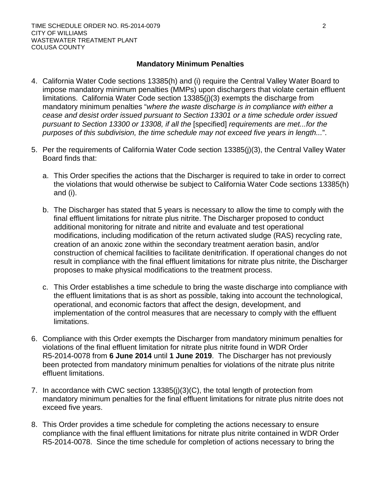#### **Mandatory Minimum Penalties**

- 4. California Water Code sections 13385(h) and (i) require the Central Valley Water Board to impose mandatory minimum penalties (MMPs) upon dischargers that violate certain effluent limitations. California Water Code section 13385(j)(3) exempts the discharge from mandatory minimum penalties "*where the waste discharge is in compliance with either a cease and desist order issued pursuant to Section 13301 or a time schedule order issued pursuant to Section 13300 or 13308, if all the* [specified] *requirements are met...for the purposes of this subdivision, the time schedule may not exceed five years in length...*".
- 5. Per the requirements of California Water Code section 13385(j)(3), the Central Valley Water Board finds that:
	- a. This Order specifies the actions that the Discharger is required to take in order to correct the violations that would otherwise be subject to California Water Code sections 13385(h) and (i).
	- b. The Discharger has stated that 5 years is necessary to allow the time to comply with the final effluent limitations for nitrate plus nitrite. The Discharger proposed to conduct additional monitoring for nitrate and nitrite and evaluate and test operational modifications, including modification of the return activated sludge (RAS) recycling rate, creation of an anoxic zone within the secondary treatment aeration basin, and/or construction of chemical facilities to facilitate denitrification. If operational changes do not result in compliance with the final effluent limitations for nitrate plus nitrite, the Discharger proposes to make physical modifications to the treatment process.
	- c. This Order establishes a time schedule to bring the waste discharge into compliance with the effluent limitations that is as short as possible, taking into account the technological, operational, and economic factors that affect the design, development, and implementation of the control measures that are necessary to comply with the effluent limitations.
- 6. Compliance with this Order exempts the Discharger from mandatory minimum penalties for violations of the final effluent limitation for nitrate plus nitrite found in WDR Order R5-2014-0078 from **6 June 2014** until **1 June 2019**. The Discharger has not previously been protected from mandatory minimum penalties for violations of the nitrate plus nitrite effluent limitations.
- 7. In accordance with CWC section 13385(j)(3)(C), the total length of protection from mandatory minimum penalties for the final effluent limitations for nitrate plus nitrite does not exceed five years.
- 8. This Order provides a time schedule for completing the actions necessary to ensure compliance with the final effluent limitations for nitrate plus nitrite contained in WDR Order R5-2014-0078. Since the time schedule for completion of actions necessary to bring the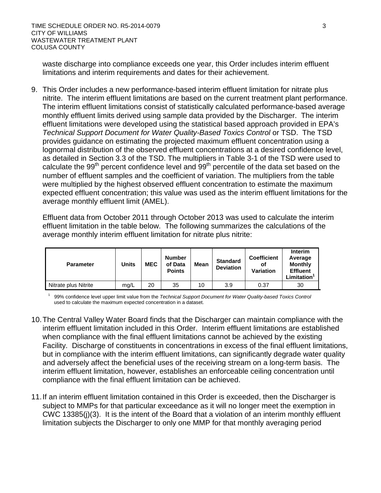waste discharge into compliance exceeds one year, this Order includes interim effluent limitations and interim requirements and dates for their achievement.

9. This Order includes a new performance-based interim effluent limitation for nitrate plus nitrite. The interim effluent limitations are based on the current treatment plant performance. The interim effluent limitations consist of statistically calculated performance-based average monthly effluent limits derived using sample data provided by the Discharger. The interim effluent limitations were developed using the statistical based approach provided in EPA's *Technical Support Document for Water Quality-Based Toxics Control or TSD. The TSD* provides guidance on estimating the projected maximum effluent concentration using a lognormal distribution of the observed effluent concentrations at a desired confidence level, as detailed in Section 3.3 of the TSD. The multipliers in Table 3-1 of the TSD were used to calculate the  $99<sup>th</sup>$  percent confidence level and  $99<sup>th</sup>$  percentile of the data set based on the number of effluent samples and the coefficient of variation. The multipliers from the table were multiplied by the highest observed effluent concentration to estimate the maximum expected effluent concentration; this value was used as the interim effluent limitations for the average monthly effluent limit (AMEL).

Effluent data from October 2011 through October 2013 was used to calculate the interim effluent limitation in the table below. The following summarizes the calculations of the average monthly interim effluent limitation for nitrate plus nitrite:

| <b>Parameter</b>     | Units | <b>MEC</b> | <b>Number</b><br>of Data<br><b>Points</b> | <b>Mean</b> | <b>Standard</b><br><b>Deviation</b> | <b>Coefficient</b><br>οf<br><b>Variation</b> | <b>Interim</b><br>Average<br><b>Monthly</b><br><b>Effluent</b><br><b>Limitation</b> |
|----------------------|-------|------------|-------------------------------------------|-------------|-------------------------------------|----------------------------------------------|-------------------------------------------------------------------------------------|
| Nitrate plus Nitrite | mg/L  | 20         | 35                                        | 10          | 3.9                                 | 0.37                                         | 30                                                                                  |

1 99% confidence level upper limit value from the *Technical Support Document for Water Quality-based Toxics Control* used to calculate the maximum expected concentration in a dataset.

- 10.The Central Valley Water Board finds that the Discharger can maintain compliance with the interim effluent limitation included in this Order. Interim effluent limitations are established when compliance with the final effluent limitations cannot be achieved by the existing Facility. Discharge of constituents in concentrations in excess of the final effluent limitations, but in compliance with the interim effluent limitations, can significantly degrade water quality and adversely affect the beneficial uses of the receiving stream on a long-term basis. The interim effluent limitation, however, establishes an enforceable ceiling concentration until compliance with the final effluent limitation can be achieved.
- 11.If an interim effluent limitation contained in this Order is exceeded, then the Discharger is subject to MMPs for that particular exceedance as it will no longer meet the exemption in CWC 13385(j)(3). It is the intent of the Board that a violation of an interim monthly effluent limitation subjects the Discharger to only one MMP for that monthly averaging period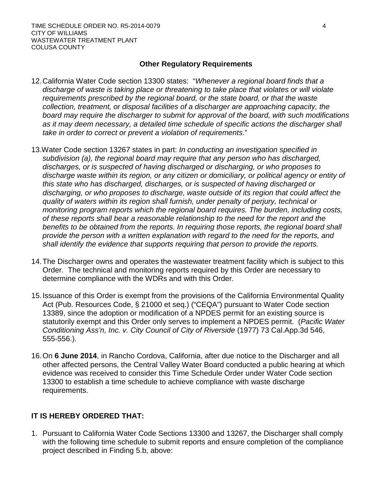#### **Other Regulatory Requirements**

- 12.California Water Code section 13300 states: "*Whenever a regional board finds that a discharge of waste is taking place or threatening to take place that violates or will violate requirements prescribed by the regional board, or the state board, or that the waste collection, treatment, or disposal facilities of a discharger are approaching capacity, the board may require the discharger to submit for approval of the board, with such modifications as it may deem necessary, a detailed time schedule of specific actions the discharger shall take in order to correct or prevent a violation of requirements*."
- 13.Water Code section 13267 states in part: *In conducting an investigation specified in subdivision (a), the regional board may require that any person who has discharged, discharges, or is suspected of having discharged or discharging, or who proposes to discharge waste within its region, or any citizen or domiciliary, or political agency or entity of this state who has discharged, discharges, or is suspected of having discharged or discharging, or who proposes to discharge, waste outside of its region that could affect the quality of waters within its region shall furnish, under penalty of perjury, technical or monitoring program reports which the regional board requires. The burden, including costs, of these reports shall bear a reasonable relationship to the need for the report and the benefits to be obtained from the reports. In requiring those reports, the regional board shall provide the person with a written explanation with regard to the need for the reports, and shall identify the evidence that supports requiring that person to provide the reports.*
- 14.The Discharger owns and operates the wastewater treatment facility which is subject to this Order. The technical and monitoring reports required by this Order are necessary to determine compliance with the WDRs and with this Order.
- 15.Issuance of this Order is exempt from the provisions of the California Environmental Quality Act (Pub. Resources Code, § 21000 et seq.) ("CEQA") pursuant to Water Code section 13389, since the adoption or modification of a NPDES permit for an existing source is statutorily exempt and this Order only serves to implement a NPDES permit. (*Pacific Water Conditioning Ass'n, Inc. v. City Council of City of Riverside* (1977) 73 Cal.App.3d 546, 555-556.).
- 16.On **6 June 2014**, in Rancho Cordova, California, after due notice to the Discharger and all other affected persons, the Central Valley Water Board conducted a public hearing at which evidence was received to consider this Time Schedule Order under Water Code section 13300 to establish a time schedule to achieve compliance with waste discharge requirements.

## **IT IS HEREBY ORDERED THAT:**

1. Pursuant to California Water Code Sections 13300 and 13267, the Discharger shall comply with the following time schedule to submit reports and ensure completion of the compliance project described in Finding 5.b, above: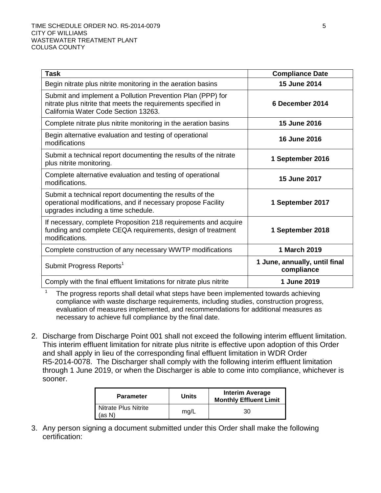| <b>Task</b>                                                                                                                                                         | <b>Compliance Date</b>                      |
|---------------------------------------------------------------------------------------------------------------------------------------------------------------------|---------------------------------------------|
| Begin nitrate plus nitrite monitoring in the aeration basins                                                                                                        | 15 June 2014                                |
| Submit and implement a Pollution Prevention Plan (PPP) for<br>nitrate plus nitrite that meets the requirements specified in<br>California Water Code Section 13263. | 6 December 2014                             |
| Complete nitrate plus nitrite monitoring in the aeration basins                                                                                                     | 15 June 2016                                |
| Begin alternative evaluation and testing of operational<br>modifications                                                                                            | 16 June 2016                                |
| Submit a technical report documenting the results of the nitrate<br>plus nitrite monitoring.                                                                        | 1 September 2016                            |
| Complete alternative evaluation and testing of operational<br>modifications.                                                                                        | 15 June 2017                                |
| Submit a technical report documenting the results of the<br>operational modifications, and if necessary propose Facility<br>upgrades including a time schedule.     | 1 September 2017                            |
| If necessary, complete Proposition 218 requirements and acquire<br>funding and complete CEQA requirements, design of treatment<br>modifications.                    | 1 September 2018                            |
| Complete construction of any necessary WWTP modifications                                                                                                           | 1 March 2019                                |
| Submit Progress Reports <sup>1</sup>                                                                                                                                | 1 June, annually, until final<br>compliance |
| Comply with the final effluent limitations for nitrate plus nitrite                                                                                                 | 1 June 2019                                 |

The progress reports shall detail what steps have been implemented towards achieving compliance with waste discharge requirements, including studies, construction progress, evaluation of measures implemented, and recommendations for additional measures as necessary to achieve full compliance by the final date.

2. Discharge from Discharge Point 001 shall not exceed the following interim effluent limitation. This interim effluent limitation for nitrate plus nitrite is effective upon adoption of this Order and shall apply in lieu of the corresponding final effluent limitation in WDR Order R5-2014-0078. The Discharger shall comply with the following interim effluent limitation through 1 June 2019, or when the Discharger is able to come into compliance, whichever is sooner.

| <b>Parameter</b>               | <b>Units</b> | <b>Interim Average</b><br><b>Monthly Effluent Limit</b> |
|--------------------------------|--------------|---------------------------------------------------------|
| Nitrate Plus Nitrite<br>(as N) | mq/L         | 30                                                      |

3. Any person signing a document submitted under this Order shall make the following certification: